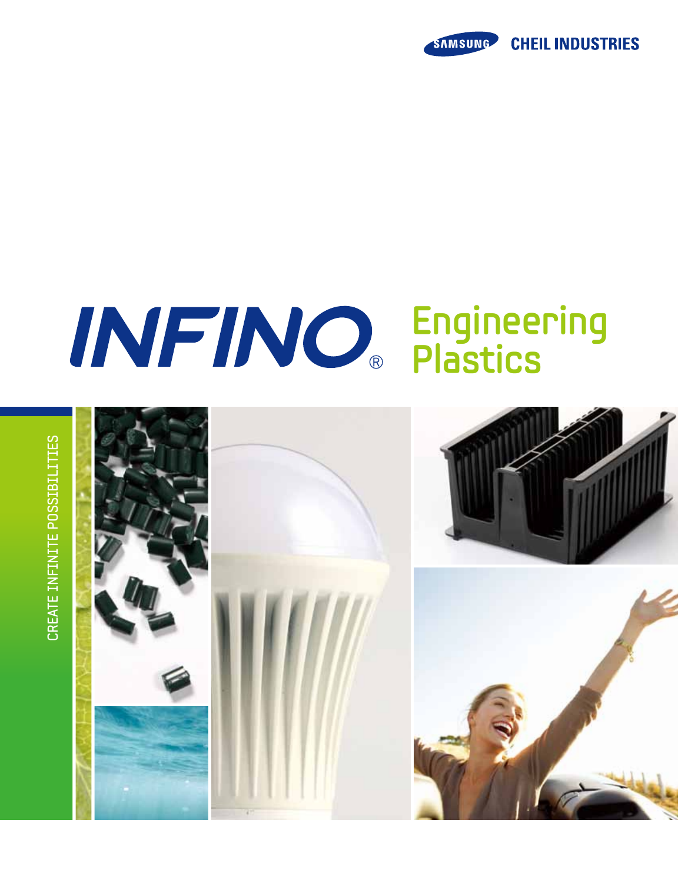

# **Engineering Plastics**

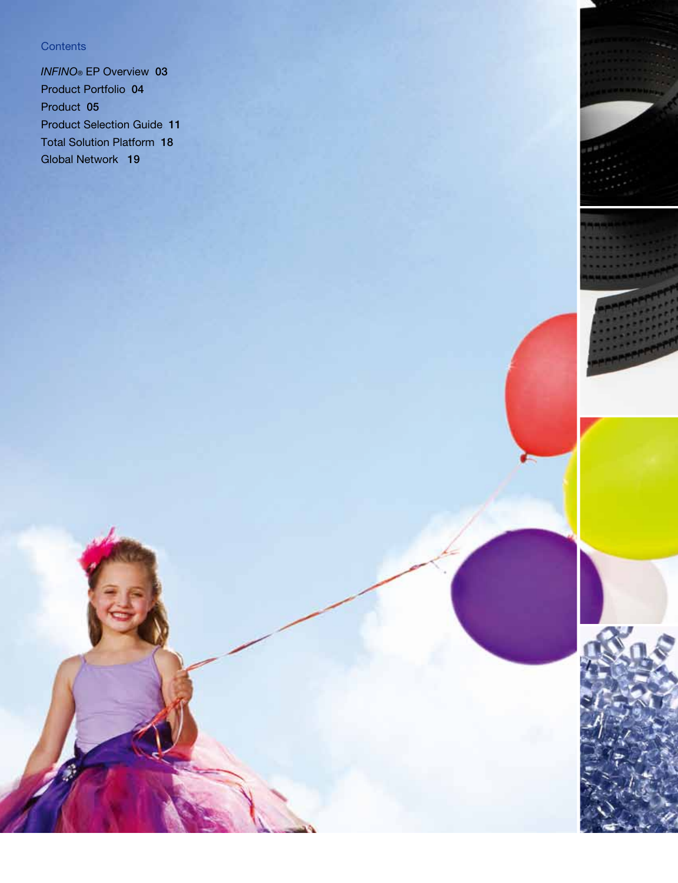#### **Contents**

*INFINO*® EP Overview 03 Product Portfolio 04 Product 05 Product Selection Guide 11 Total Solution Platform 18 Global Network 19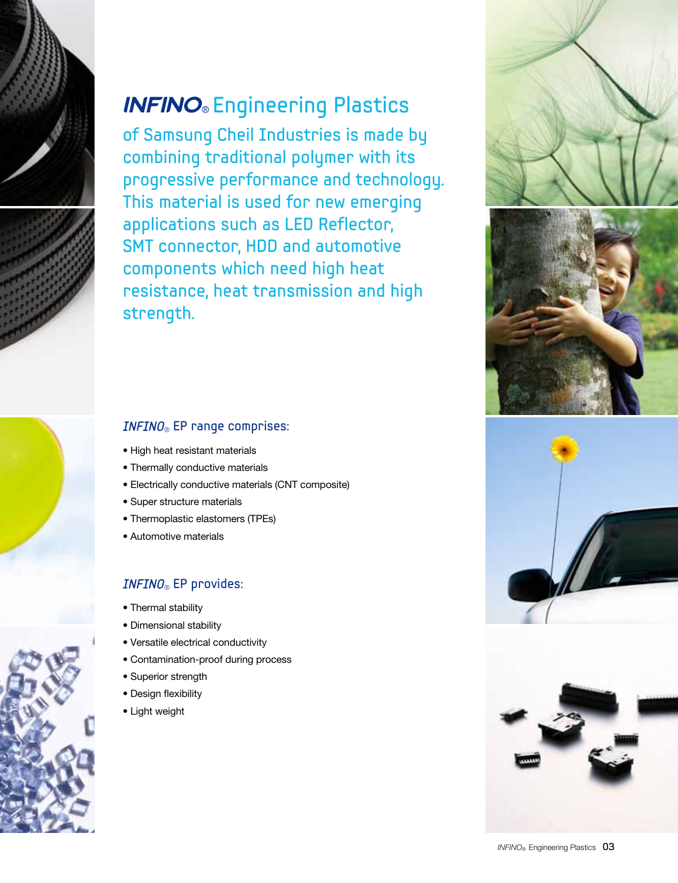

### **INFINO**® Engineering Plastics

of Samsung Cheil Industries is made by combining traditional polymer with its progressive performance and technology. This material is used for new emerging applications such as LED Reflector, SMT connector, HDD and automotive components which need high heat resistance, heat transmission and high strength.







### $INFINO_{\circledcirc}$  EP range comprises:

- High heat resistant materials
- Thermally conductive materials
- Electrically conductive materials (CNT composite)
- Super structure materials
- Thermoplastic elastomers (TPEs)
- Automotive materials

#### $INFINO_{\circledcirc}$  EP provides:

- Thermal stability
- Dimensional stability
- Versatile electrical conductivity
- Contamination-proof during process
- Superior strength
- Design flexibility
- Light weight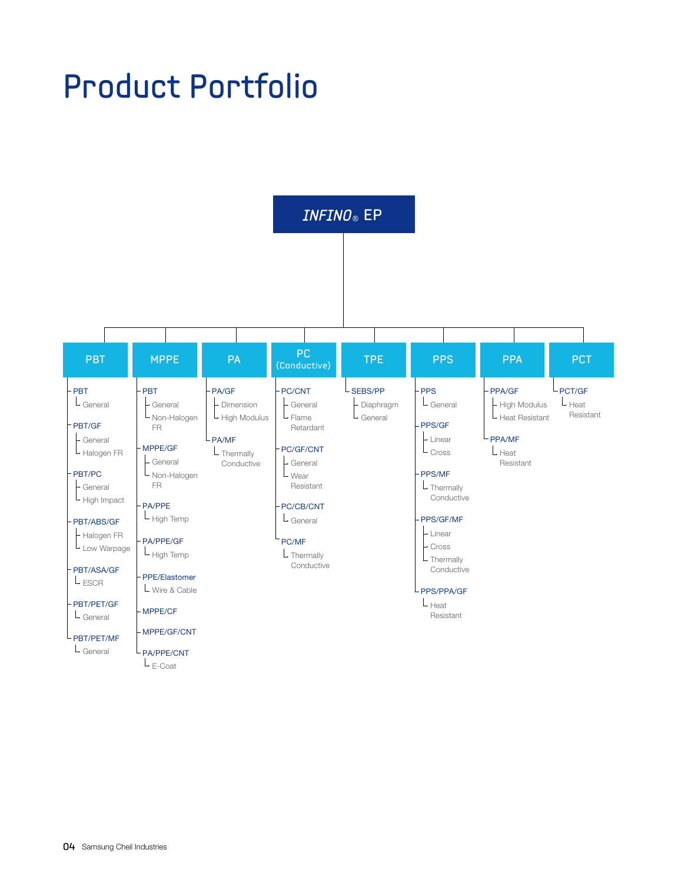## Product Portfolio

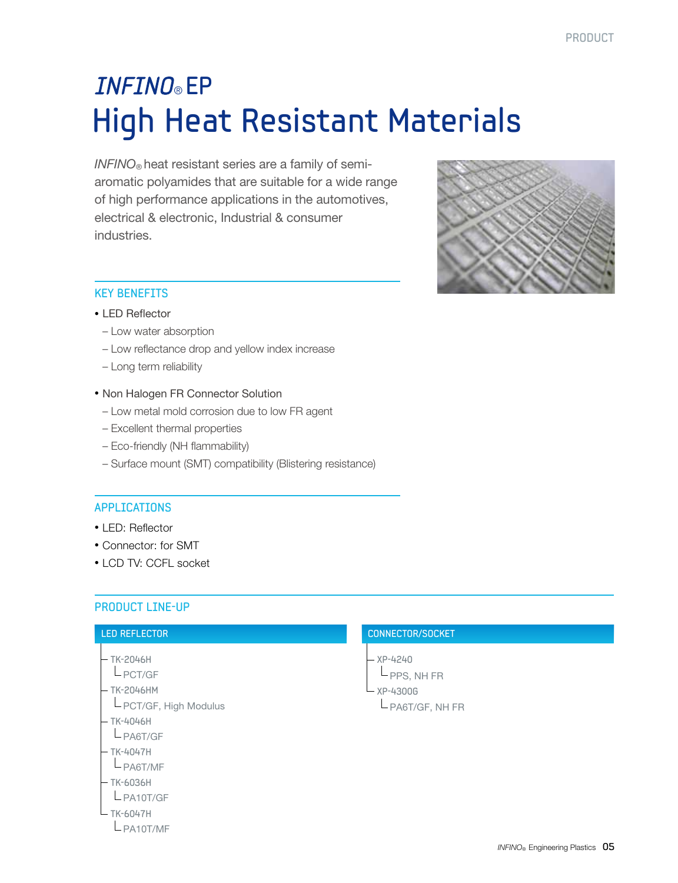### High Heat Resistant Materials **INFINO®** EP

*INFINO*® heat resistant series are a family of semiaromatic polyamides that are suitable for a wide range of high performance applications in the automotives, electrical & electronic, Industrial & consumer industries.



#### Key Benefits

#### • LED Reflector

- Low water absorption
- Low reflectance drop and yellow index increase
- Long term reliability
- Non Halogen FR Connector Solution
- Low metal mold corrosion due to low FR agent
- Excellent thermal properties
- Eco-friendly (NH flammability)
- Surface mount (SMT) compatibility (Blistering resistance)

#### **APPLICATIONS**

- LED: Reflector
- Connector: for SMT
- LCD TV: CCFL socket

#### Product Line-Up

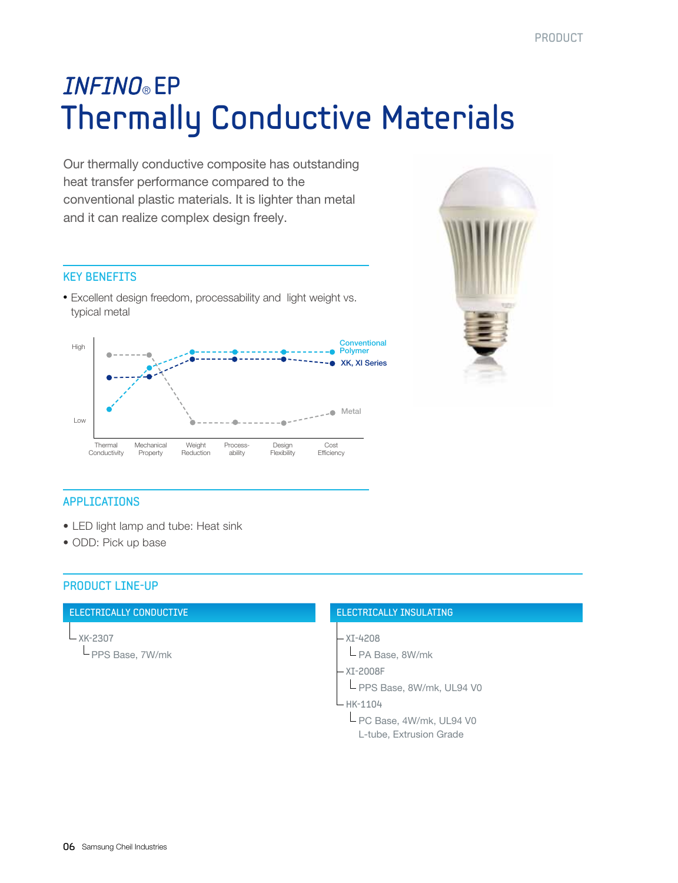### Thermally Conductive Materials **INFINO®** EP

Our thermally conductive composite has outstanding heat transfer performance compared to the conventional plastic materials. It is lighter than metal and it can realize complex design freely.

#### Key Benefits

• Excellent design freedom, processability and light weight vs. typical metal





#### **APPLICATIONS**

- LED light lamp and tube: Heat sink
- ODD: Pick up base

#### Product Line-Up

#### Electrically Conductive

XK-2307 PPS Base, 7W/mk

#### Electrically Insulating

- XI-4208
- PA Base, 8W/mk
- XI-2008F
- L PPS Base, 8W/mk, UL94 V0

#### HK-1104

L PC Base, 4W/mk, UL94 V0 L-tube, Extrusion Grade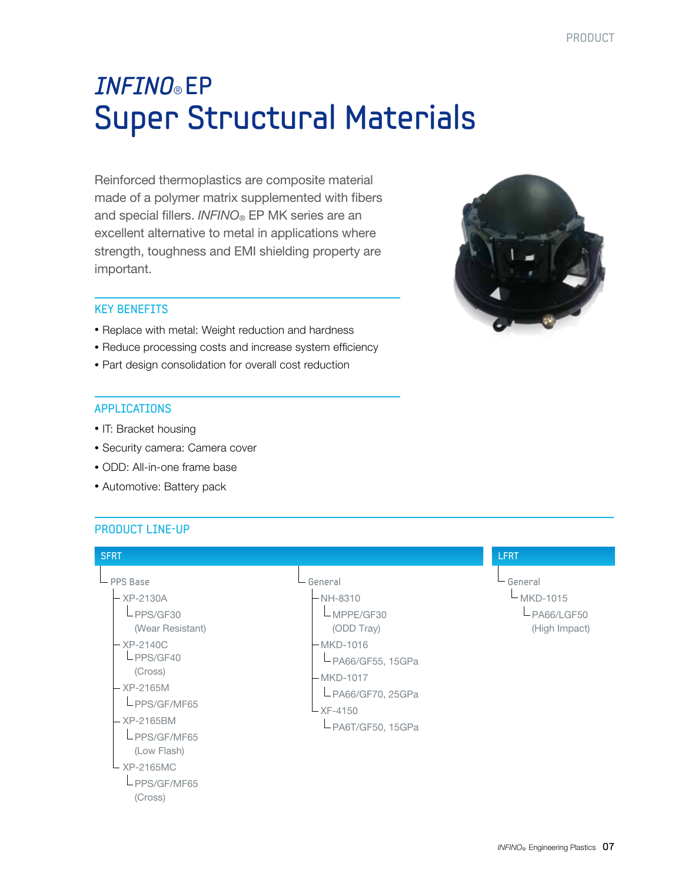### Super Structural Materials **INFINO®** EP

Reinforced thermoplastics are composite material made of a polymer matrix supplemented with fibers and special fillers. *INFINO*® EP MK series are an excellent alternative to metal in applications where strength, toughness and EMI shielding property are important.



#### Key Benefits

- Replace with metal: Weight reduction and hardness
- Reduce processing costs and increase system efficiency
- Part design consolidation for overall cost reduction

#### **APPLICATIONS**

- IT: Bracket housing
- Security camera: Camera cover
- ODD: All-in-one frame base
- Automotive: Battery pack

#### Product Line-Up

| <b>SFRT</b>                                                                                                                                                                                                               |                                                                                                                                                                        | <b>LFRT</b>                                                |
|---------------------------------------------------------------------------------------------------------------------------------------------------------------------------------------------------------------------------|------------------------------------------------------------------------------------------------------------------------------------------------------------------------|------------------------------------------------------------|
| $-$ PPS Base<br>- XP-2130A<br>LPPS/GF30<br>(Wear Resistant)<br>$-$ XP-2140C<br>LPPS/GF40<br>(Cross)<br>- XP-2165M<br>LPPS/GF/MF65<br>- XP-2165BM<br>LPPS/GF/MF65<br>(Low Flash)<br>– XP-2165MC<br>LPPS/GF/MF65<br>(Cross) | General<br>$-NH-8310$<br>$L$ MPPE/GF30<br>(ODD Tray)<br>-MKD-1016<br>$-PAG6/GF55, 15GPa$<br>- MKD-1017<br>$L$ PA66/GF70, 25GPa<br>$- XF - 4150$<br>$-PAGT/GF50, 15GPa$ | └ General<br>$-MKD-1015$<br>$-PAG6/LGF50$<br>(High Impact) |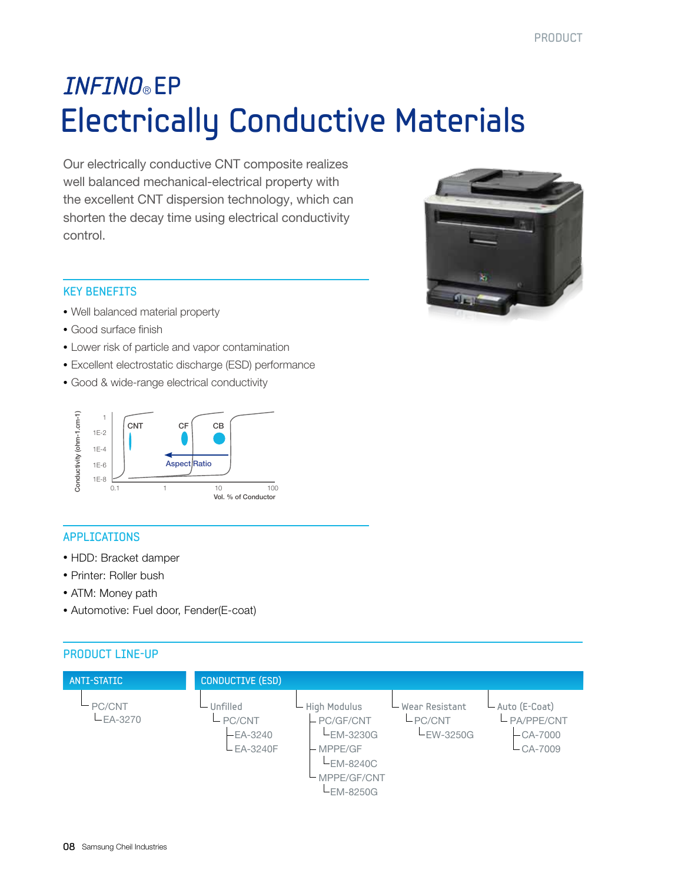### Electrically Conductive Materials **INFINO®** EP

Our electrically conductive CNT composite realizes well balanced mechanical-electrical property with the excellent CNT dispersion technology, which can shorten the decay time using electrical conductivity control.



#### Key Benefits

- Well balanced material property
- Good surface finish
- Lower risk of particle and vapor contamination
- Excellent electrostatic discharge (ESD) performance
- Good & wide-range electrical conductivity



#### **APPLICATIONS**

- HDD: Bracket damper
- Printer: Roller bush
- ATM: Money path
- Automotive: Fuel door, Fender(E-coat)

#### PRODUCT LINE-UP

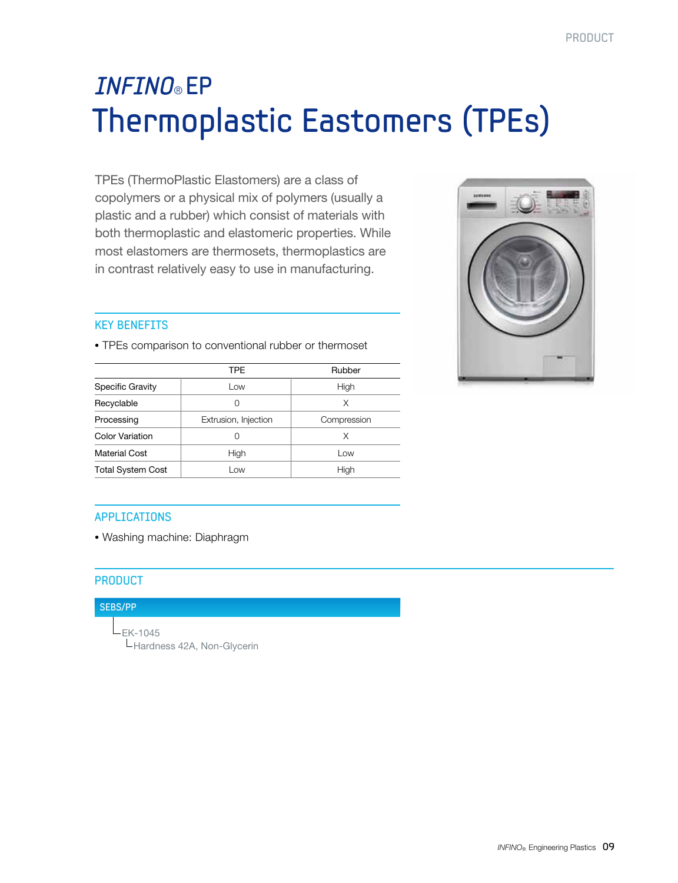### Thermoplastic Eastomers (TPEs) **INFINO®** EP

TPEs (ThermoPlastic Elastomers) are a class of copolymers or a physical mix of polymers (usually a plastic and a rubber) which consist of materials with both thermoplastic and elastomeric properties. While most elastomers are thermosets, thermoplastics are in contrast relatively easy to use in manufacturing.

#### Key Benefits

• TPEs comparison to conventional rubber or thermoset TPE Rubber Specific Gravity **Low** Low High Recyclable  $\begin{array}{ccc} \sim & 0 & \sim & \end{array}$  X Processing **Extrusion, Injection** Compression Color Variation  $\begin{array}{ccc} & & 0 & & \end{array}$   $\begin{array}{ccc} \times & & \end{array}$ 

Material Cost  $\qquad \qquad$  High  $\qquad \qquad$  Low Total System Cost | Low Low High



#### **APPLICATIONS**

• Washing machine: Diaphragm

#### **PRODUCT**

#### SEBS/PP

 EK-1045 Hardness 42A, Non-Glycerin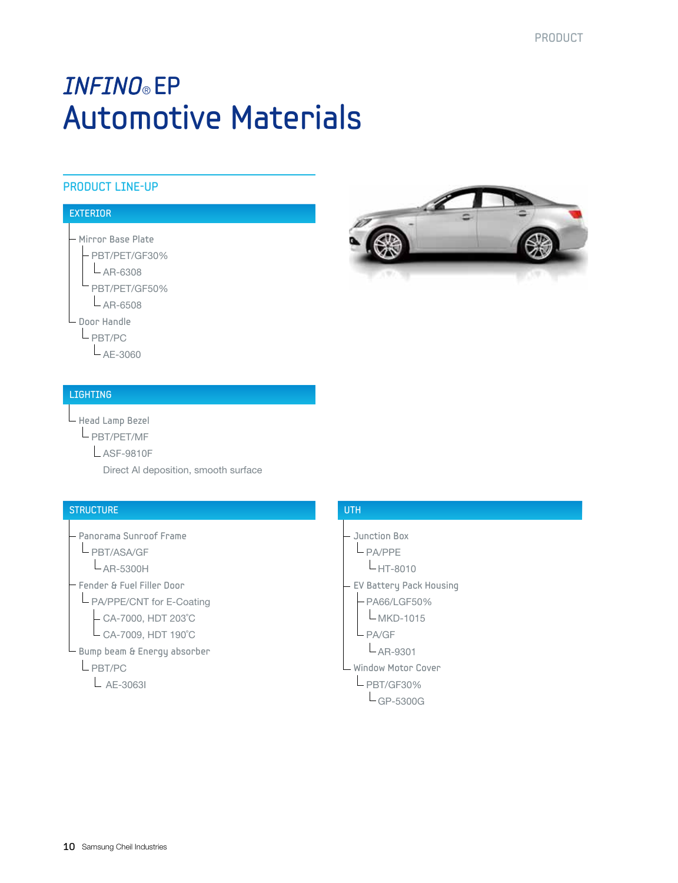### Automotive Materials **INFINO®** EP

#### Product Line-Up

#### **EXTERIOR**

Mirror Base Plate

 PBT/PET/GF30%  $L_{AR-6308}$ PBT/PET/GF50%

 $L_{AR-6508}$ 

Door Handle

PBT/PC

 $L_{AE-3060}$ 

#### Lighting

Head Lamp Bezel

PBT/PET/MF

ASF-9810F

Direct Al deposition, smooth surface

#### **STRUCTURE**

 Panorama Sunroof Frame L PBT/ASA/GF  $L_{AR-5300H}$ Fender & Fuel Filler Door

L PA/PPE/CNT for E-Coating

CA-7000, HDT 203˚C

 $\mathsf{\mathsf{L}}$  CA-7009, HDT 190 $^\circ$ C

 $\mathrel{\sqsubseteq}$  Bump beam & Energy absorber

L PBT/PC

 $L$  AE-3063I



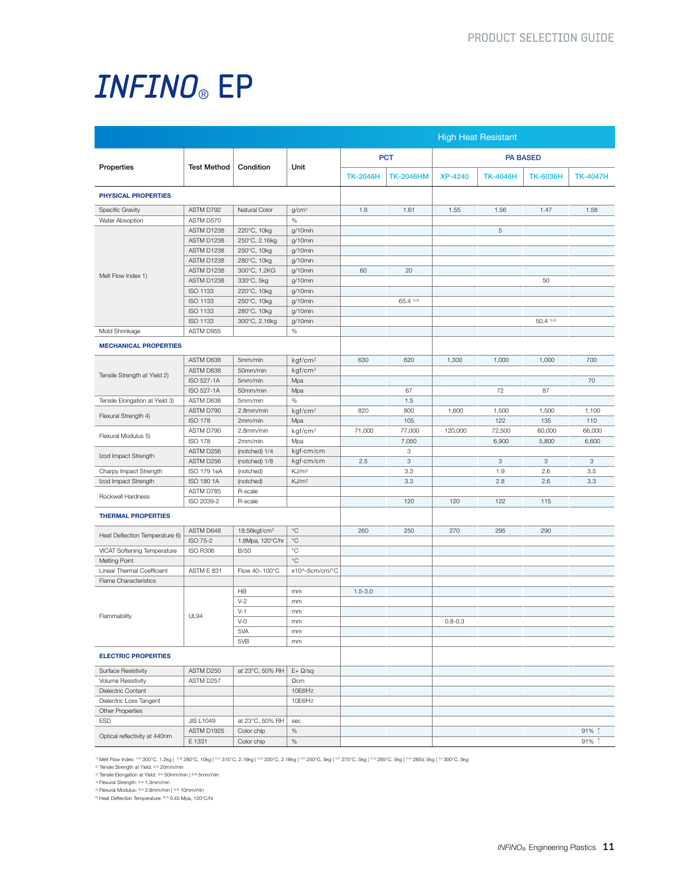|                                |                    |                          |                     |                 |                  |                 | <b>High Heat Resistant</b> |                        |                 |  |
|--------------------------------|--------------------|--------------------------|---------------------|-----------------|------------------|-----------------|----------------------------|------------------------|-----------------|--|
|                                |                    |                          |                     |                 | <b>PCT</b>       | <b>PA BASED</b> |                            |                        |                 |  |
| Properties                     | <b>Test Method</b> | Condition                | Unit                | <b>TK-2046H</b> | <b>TK-2046HM</b> | <b>XP-4240</b>  | <b>TK-4046H</b>            | <b>TK-6036H</b>        | <b>TK-4047H</b> |  |
| PHYSICAL PROPERTIES            |                    |                          |                     |                 |                  |                 |                            |                        |                 |  |
| Specific Gravity               | ASTM D792          | Natural Color            | g/cm <sup>3</sup>   | 1.6             | 1.61             | 1.55            | 1.56                       | 1.47                   | 1.58            |  |
| Water Absoption                | ASTM D570          |                          | $\%$                |                 |                  |                 |                            |                        |                 |  |
|                                | ASTM D1238         | 220°C, 10kg              | g/10min             |                 |                  |                 | $\,$ 5 $\,$                |                        |                 |  |
|                                | ASTM D1238         | 250°C, 2.16kg            | g/10min             |                 |                  |                 |                            |                        |                 |  |
| Melt Flow Index 1)             | ASTM D1238         | 250°C, 10kg              | g/10min             |                 |                  |                 |                            |                        |                 |  |
|                                | ASTM D1238         | 280°C, 10kg              | g/10min             |                 |                  |                 |                            |                        |                 |  |
|                                | ASTM D1238         | 300°C, 1.2KG             | g/10min             | 60              | 20               |                 |                            |                        |                 |  |
|                                | ASTM D1238         | 330°C, 5kg               | g/10min             |                 |                  |                 |                            | 50                     |                 |  |
|                                | ISO 1133           | 220°C, 10kg              | g/10min             |                 |                  |                 |                            |                        |                 |  |
|                                | ISO 1133           | 250°C, 10kg              | g/10min             |                 | 65.4 1)-A        |                 |                            |                        |                 |  |
|                                | ISO 1133           | 280°C, 10kg              | g/10min             |                 |                  |                 |                            |                        |                 |  |
|                                | <b>ISO 1133</b>    | 300°C, 2.16kg            | g/10min             |                 |                  |                 |                            | $50.4$ <sup>1)-D</sup> |                 |  |
| Mold Shrinkage                 | ASTM D955          |                          | $\%$                |                 |                  |                 |                            |                        |                 |  |
| <b>MECHANICAL PROPERTIES</b>   |                    |                          |                     |                 |                  |                 |                            |                        |                 |  |
|                                |                    |                          |                     |                 |                  |                 |                            |                        |                 |  |
|                                | ASTM D638          | 5mm/min                  | kgf/cm <sup>2</sup> | 630             | 620              | 1,300           | 1,000                      | 1,000                  | 700             |  |
| Tensile Strength at Yield 2)   | ASTM D638          | 50mm/min                 | kgf/cm <sup>2</sup> |                 |                  |                 |                            |                        |                 |  |
|                                | ISO 527-1A         | 5mm/min                  | Mpa                 |                 |                  |                 |                            |                        | 70              |  |
|                                | ISO 527-1A         | 50mm/min                 | Mpa                 |                 | 67               |                 | 72                         | 87                     |                 |  |
| Tensile Elongation at Yield 3) | ASTM D638          | 5mm/min                  | %                   |                 | 1.5              |                 |                            |                        |                 |  |
| Flexural Strength 4)           | ASTM D790          | 2.8mm/min                | kgf/cm <sup>2</sup> | 820             | 800              | 1,600           | 1,500                      | 1,500                  | 1,100           |  |
|                                | <b>ISO 178</b>     | 2mm/min                  | Mpa                 |                 | 105              |                 | 122                        | 135                    | 110             |  |
| Flexural Modulus 5)            | ASTM D790          | 2.8mm/min                | kgf/cm <sup>2</sup> | 71,000          | 77,000           | 120,000         | 72,500                     | 60,000                 | 66,000          |  |
|                                | <b>ISO 178</b>     | 2mm/min                  | Mpa                 |                 | 7,050            |                 | 6,900                      | 5,800                  | 6,600           |  |
| Izod Impact Strength           | ASTM D256          | (notched) 1/4            | kgf·cm/cm           |                 | 3                |                 |                            |                        |                 |  |
|                                | ASTM D256          | (notched) 1/8            | kgf·cm/cm           | 2.5             | $_{\rm 3}$       |                 | $_{\rm 3}$                 | $_{\rm 3}$             | 3               |  |
| Charpy Impact Strength         | ISO 179 1eA        | (notched)                | KJ/m <sup>2</sup>   |                 | 3.3              |                 | 1.9                        | 2.6                    | 3.5             |  |
| Izod Impact Strength           | ISO 180 1A         | (notched)                | KJ/m <sup>2</sup>   |                 | 3.3              |                 | 2.8                        | 2.6                    | 3.3             |  |
| Rockwell Hardness              | ASTM D785          | R-scale                  |                     |                 |                  |                 |                            |                        |                 |  |
|                                | ISO 2039-2         | R-scale                  |                     |                 | 120              | 120             | 122                        | 115                    |                 |  |
| <b>THERMAL PROPERTIES</b>      |                    |                          |                     |                 |                  |                 |                            |                        |                 |  |
|                                | ASTM D648          | 18.56kgf/cm <sup>2</sup> | $^{\circ}C$         | 260             | 250              | 270             | 295                        | 290                    |                 |  |
| Heat Deflection Temperature 6) | ISO 75-2           | 1.8Mpa, 120°C/hr         | $^{\circ}C$         |                 |                  |                 |                            |                        |                 |  |
| VICAT Softening Temperature    | <b>ISO R306</b>    | <b>B/50</b>              | °C                  |                 |                  |                 |                            |                        |                 |  |
| <b>Melting Point</b>           |                    |                          | $^{\circ}C$         |                 |                  |                 |                            |                        |                 |  |
| Linear Thermal Coefficient     | ASTM E 831         | Flow 40~100°C            | x10^-5cm/cm/°C      |                 |                  |                 |                            |                        |                 |  |
| Flame Characteristics          |                    |                          |                     |                 |                  |                 |                            |                        |                 |  |
|                                |                    | HB                       | mm                  | $1.5 - 3.0$     |                  |                 |                            |                        |                 |  |
|                                |                    | $V-2$                    | mm                  |                 |                  |                 |                            |                        |                 |  |
|                                |                    | $V-1$                    | mm                  |                 |                  |                 |                            |                        |                 |  |
| Flammability                   | <b>UL94</b>        | $V-0$                    | mm                  |                 |                  | $0.8 - 0.3$     |                            |                        |                 |  |
|                                |                    | 5VA                      | mm                  |                 |                  |                 |                            |                        |                 |  |
|                                |                    | 5VB                      | mm                  |                 |                  |                 |                            |                        |                 |  |
| <b>ELECTRIC PROPERTIES</b>     |                    |                          |                     |                 |                  |                 |                            |                        |                 |  |
|                                |                    |                          |                     |                 |                  |                 |                            |                        |                 |  |
| Surface Resistivity            | ASTM D250          | at 23°C, 50% RH          | $E + \Omega/sq$     |                 |                  |                 |                            |                        |                 |  |
| Volume Resistivity             | ASTM D257          |                          | $\Omega$ cm         |                 |                  |                 |                            |                        |                 |  |
| Dielectric Contant             |                    |                          | 10E6Hz              |                 |                  |                 |                            |                        |                 |  |
| Dielectric Loss Tangent        |                    |                          | 10E6Hz              |                 |                  |                 |                            |                        |                 |  |
| Other Properties               |                    |                          |                     |                 |                  |                 |                            |                        |                 |  |
| <b>ESD</b>                     | <b>JIS L1049</b>   | at 23°C, 50% RH          | sec                 |                 |                  |                 |                            |                        |                 |  |
| Optical reflectivity at 440nm  | ASTM D1925         | Color chip               | $\%$                |                 |                  |                 |                            |                        | 91% 1           |  |
|                                | E 1331             | Color chip               | $\%$                |                 |                  |                 |                            |                        | 91% 1           |  |

" Melt Flow Index: "^ 300°C, 1.2kg | "® 280°C, 10kg | "° 315°C, 2.16kg | "° 330°C, 2.16kg | "° 250°C, 5kg | "° 275°C, 5kg | "° 285°C, 5kg | "\* 285V, 5kg | "\* 200°C, 5kg<br>?" Tensile Stength at Yeld: \*\* 20mm/mini | ®® 5mm/min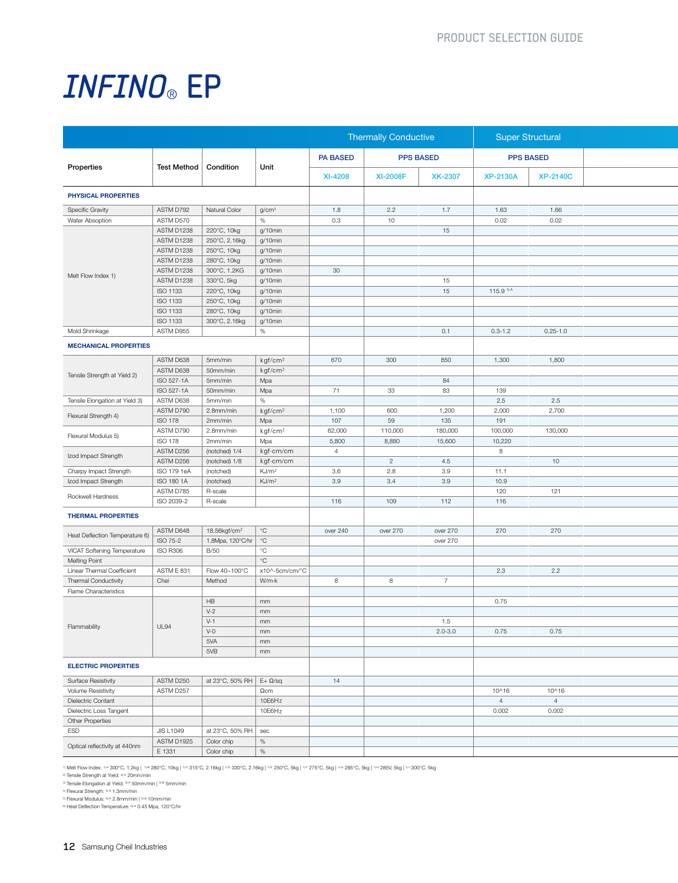|                                |                  |                                       | Thermally Conductive |                | <b>Super Structural</b> |                 |                       |                 |                  |  |
|--------------------------------|------------------|---------------------------------------|----------------------|----------------|-------------------------|-----------------|-----------------------|-----------------|------------------|--|
| Properties                     |                  | Test Method   Condition               |                      | Unit           | <b>PA BASED</b>         |                 | <b>PPS BASED</b>      |                 | <b>PPS BASED</b> |  |
|                                |                  |                                       |                      | <b>XI-4208</b> | <b>XI-2008F</b>         | <b>XK-2307</b>  | <b>XP-2130A</b>       | <b>XP-2140C</b> |                  |  |
| PHYSICAL PROPERTIES            |                  |                                       |                      |                |                         |                 |                       |                 |                  |  |
| Specific Gravity               | ASTM D792        | Natural Color                         | g/cm <sup>3</sup>    | 1.8            | 2.2                     | 1.7             | 1.63                  | 1.66            |                  |  |
| Water Absoption                | ASTM D570        |                                       | $\%$                 | 0.3            | 10                      |                 | 0.02                  | 0.02            |                  |  |
|                                | ASTM D1238       | 220°C, 10kg                           | g/10min              |                |                         | 15              |                       |                 |                  |  |
|                                | ASTM D1238       | 250°C, 2.16kg                         | g/10min              |                |                         |                 |                       |                 |                  |  |
|                                | ASTM D1238       | 250°C, 10kg                           | g/10min              |                |                         |                 |                       |                 |                  |  |
|                                | ASTM D1238       | 280°C, 10kg                           | g/10min              |                |                         |                 |                       |                 |                  |  |
|                                | ASTM D1238       | 300°C, 1.2KG                          | g/10min              | 30             |                         |                 |                       |                 |                  |  |
| Melt Flow Index 1)             | ASTM D1238       | 330°C, 5kg                            | g/10min              |                |                         | 15              |                       |                 |                  |  |
|                                | ISO 1133         | 220°C, 10kg                           | g/10min              |                |                         | 15              | 115.9 <sup>1)-A</sup> |                 |                  |  |
|                                |                  |                                       |                      |                |                         |                 |                       |                 |                  |  |
|                                | ISO 1133         | 250°C, 10kg                           | g/10min              |                |                         |                 |                       |                 |                  |  |
|                                | ISO 1133         | 280°C, 10kg                           | g/10min              |                |                         |                 |                       |                 |                  |  |
|                                | ISO 1133         | 300°C, 2.16kg                         | g/10min              |                |                         |                 |                       |                 |                  |  |
| Mold Shrinkage                 | ASTM D955        |                                       | %                    |                |                         | 0.1             | $0.3 - 1.2$           | $0.25 - 1.0$    |                  |  |
| <b>MECHANICAL PROPERTIES</b>   |                  |                                       |                      |                |                         |                 |                       |                 |                  |  |
|                                | ASTM D638        | 5mm/min                               | kgf/cm <sup>2</sup>  | 670            | 300                     | 850             | 1,300                 | 1,800           |                  |  |
|                                | ASTM D638        | 50mm/min                              | kgf/cm <sup>2</sup>  |                |                         |                 |                       |                 |                  |  |
| Tensile Strength at Yield 2)   | ISO 527-1A       | 5mm/min                               | Mpa                  |                |                         | 84              |                       |                 |                  |  |
|                                | ISO 527-1A       | 50mm/min                              | Mpa                  | 71             | 33                      | 83              | 139                   |                 |                  |  |
| Tensile Elongation at Yield 3) | ASTM D638        | 5mm/min                               | $\%$                 |                |                         |                 | 2.5                   | 2.5             |                  |  |
|                                |                  |                                       |                      |                | 600                     |                 |                       | 2,700           |                  |  |
| Flexural Strength 4)           | ASTM D790        | 2.8mm/min                             | kgf/cm <sup>2</sup>  | 1,100          |                         | 1,200           | 2,000                 |                 |                  |  |
|                                | <b>ISO 178</b>   | 2mm/min                               | Mpa                  | 107            | 59                      | 135             | 191                   |                 |                  |  |
| Flexural Modulus 5)            | ASTM D790        | 2.8mm/min                             | kgf/cm <sup>2</sup>  | 62,000         | 110,000                 | 180,000         | 100,000               | 130,000         |                  |  |
|                                | <b>ISO 178</b>   | 2mm/min                               | Mpa                  | 5,800          | 8,880                   | 15,600          | 10,220                |                 |                  |  |
| Izod Impact Strength           | ASTM D256        | (notched) 1/4                         | kgf·cm/cm            | 4              |                         |                 | 8                     |                 |                  |  |
|                                | ASTM D256        | (notched) 1/8                         | kgf·cm/cm            |                | $\overline{2}$          | 4.5             |                       | 10              |                  |  |
| Charpy Impact Strength         | ISO 179 1eA      | (notched)                             | KJ/m <sup>2</sup>    | 3.6            | 2.8                     | 3.9             | 11.1                  |                 |                  |  |
| Izod Impact Strength           | ISO 180 1A       | (notched)                             | KJ/m <sup>2</sup>    | 3.9            | 3.4                     | 3.9             | 10.9                  |                 |                  |  |
|                                | ASTM D785        | R-scale                               |                      |                |                         |                 | 120                   | 121             |                  |  |
| Rockwell Hardness              | ISO 2039-2       | R-scale                               |                      | 116            | 109                     | 112             | 116                   |                 |                  |  |
|                                |                  |                                       |                      |                |                         |                 |                       |                 |                  |  |
| <b>THERMAL PROPERTIES</b>      |                  |                                       |                      |                |                         |                 |                       |                 |                  |  |
|                                | ASTM D648        | 18.56kgf/cm <sup>2</sup>              | $^{\circ}$ C         | over 240       | over 270                | over 270        | 270                   | 270             |                  |  |
| Heat Deflection Temperature 6) | ISO 75-2         | 1.8Mpa, 120°C/hr   °C                 |                      |                |                         | over 270        |                       |                 |                  |  |
| VICAT Softening Temperature    | <b>ISO R306</b>  | <b>B/50</b>                           | $^{\circ}$ C         |                |                         |                 |                       |                 |                  |  |
| <b>Melting Point</b>           |                  |                                       | $^{\circ}$ C         |                |                         |                 |                       |                 |                  |  |
|                                | ASTM E 831       | Flow 40~100°C                         |                      |                |                         |                 | 2.3                   |                 |                  |  |
| Linear Thermal Coefficient     |                  |                                       | x10^-5cm/cm/°C       |                |                         |                 |                       | 2.2             |                  |  |
| Thermal Conductivity           | Chei             | Method                                | W/m·k                | 8              | 8                       | $7\overline{ }$ |                       |                 |                  |  |
| Flame Characteristics          |                  |                                       |                      |                |                         |                 |                       |                 |                  |  |
|                                |                  | HB                                    | mm                   |                |                         |                 | 0.75                  |                 |                  |  |
|                                |                  | $V-2$                                 | mm                   |                |                         |                 |                       |                 |                  |  |
| Flammability                   | UL94             | $V-1$                                 | mm                   |                |                         | 1.5             |                       |                 |                  |  |
|                                |                  | $V-0$                                 | mm                   |                |                         | $2.0 - 3.0$     | 0.75                  | 0.75            |                  |  |
|                                |                  | 5VA                                   | mm                   |                |                         |                 |                       |                 |                  |  |
|                                |                  | 5VB                                   | mm                   |                |                         |                 |                       |                 |                  |  |
| <b>ELECTRIC PROPERTIES</b>     |                  |                                       |                      |                |                         |                 |                       |                 |                  |  |
|                                |                  |                                       |                      |                |                         |                 |                       |                 |                  |  |
| <b>Surface Resistivity</b>     | ASTM D250        | at 23°C, 50% RH $E+$ $\Omega$ /sq     |                      | 14             |                         |                 |                       |                 |                  |  |
| Volume Resistivity             | ASTM D257        |                                       | $\Omega$ cm          |                |                         |                 | 10^16                 | 10^16           |                  |  |
| Dielectric Contant             |                  |                                       | 10E6Hz               |                |                         |                 | 4                     | 4               |                  |  |
| Dielectric Loss Tangent        |                  |                                       | 10E6Hz               |                |                         |                 | 0.002                 | 0.002           |                  |  |
| Other Properties               |                  |                                       |                      |                |                         |                 |                       |                 |                  |  |
| ESD                            | <b>JIS L1049</b> | at 23 $\degree$ C, 50% RH $\vert$ sec |                      |                |                         |                 |                       |                 |                  |  |
| Optical reflectivity at 440nm  | ASTM D1925       | Color chip                            | $\frac{9}{6}$        |                |                         |                 |                       |                 |                  |  |
|                                | E 1331           | Color chip                            | $\frac{9}{6}$        |                |                         |                 |                       |                 |                  |  |

1) Melt Flow Index: 114 300°C, 1.2kg | 11= 280°C, 10kg | 1/- 315°C, 2.16kg | 1/- 330°C, 2.16kg | 1/- £ 250°C, 5kg | 1/- £ 250°C, 5kg | 1/- 285°C, 5kg | 1/11 285V, 5kg | 1/11 300°C, 5kg

<sup>2</sup> Tensile Strength at Yield: <sup>21,4</sup> 20mm/min<br><sup>3</sup> Tensile Elongation at Yield: <sup>31,4</sup> 50mm/min | <sup>31,8</sup> 5mm/min<br><sup>4</sup> Flexural Strength: <sup>41,4</sup> 1.3mm/min | <sup>31,8</sup> 10mm/min<br><sup>8</sup> Fleat Deflection Temperature: <sup>814</sup> 0.45 Mpa,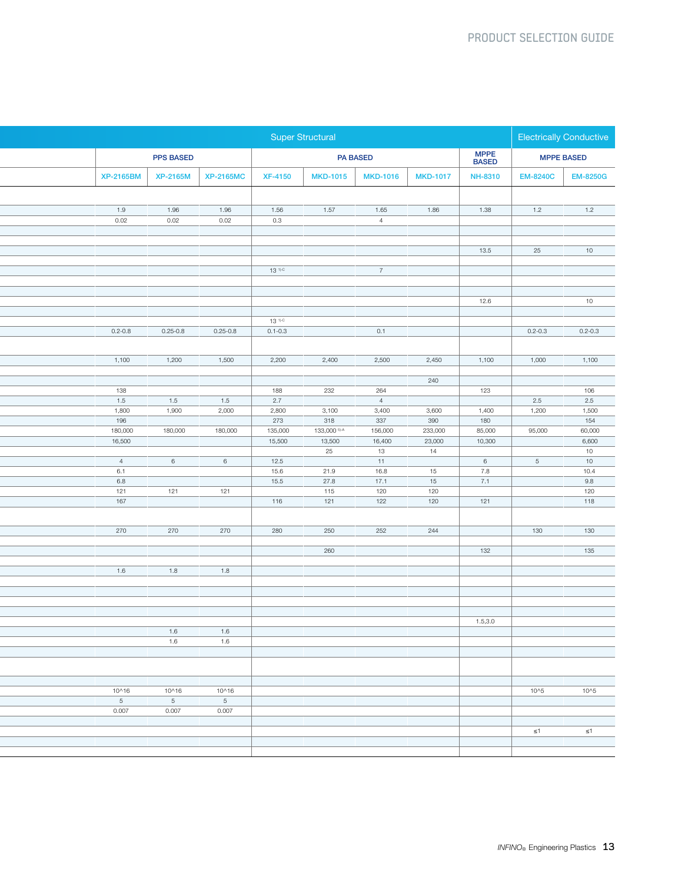|                         |                          |                  |                   | <b>Super Structural</b>           |                        |                   |                       | Electrically Conductive |                      |
|-------------------------|--------------------------|------------------|-------------------|-----------------------------------|------------------------|-------------------|-----------------------|-------------------------|----------------------|
|                         | <b>PPS BASED</b>         |                  |                   |                                   | <b>PA BASED</b>        |                   | <b>MPPE<br/>BASED</b> |                         | <b>MPPE BASED</b>    |
| <b>XP-2165BM</b>        | <b>XP-2165M</b>          | <b>XP-2165MC</b> | <b>XF-4150</b>    |                                   | MKD-1015 MKD-1016      | <b>MKD-1017</b>   | <b>NH-8310</b>        | <b>EM-8240C</b>         | <b>EM-8250G</b>      |
|                         |                          |                  |                   |                                   |                        |                   |                       |                         |                      |
| 1.9                     | 1.96                     | 1.96             | 1.56              | 1.57                              | 1.65                   | 1.86              | 1.38                  | 1.2                     | 1.2                  |
| 0.02                    | 0.02                     | 0.02             | 0.3               |                                   | 4                      |                   |                       |                         |                      |
|                         |                          |                  |                   |                                   |                        |                   | 13.5                  | 25                      | 10                   |
|                         |                          |                  | $13^{1)-C}$       |                                   | 7 <sup>7</sup>         |                   |                       |                         |                      |
|                         |                          |                  |                   |                                   |                        |                   |                       |                         |                      |
|                         |                          |                  |                   |                                   |                        |                   | 12.6                  |                         | 10                   |
|                         |                          |                  | $13^{1) \cdot C}$ |                                   |                        |                   |                       |                         |                      |
| $0.2 - 0.8$             | $0.25 - 0.8$             | $0.25 - 0.8$     | $0.1 - 0.3$       |                                   | 0.1                    |                   |                       | $0.2 - 0.3$             | $0.2 - 0.3$          |
|                         |                          |                  |                   |                                   |                        |                   |                       |                         |                      |
| 1,100                   | 1,200                    | 1,500            | 2,200             | 2,400                             | 2,500                  | 2,450             | 1,100                 | 1,000                   | 1,100                |
|                         |                          |                  |                   |                                   |                        | 240               |                       |                         |                      |
| 138<br>1.5              | 1.5                      | 1.5              | 188<br>2.7        | 232                               | 264<br>$4\overline{4}$ |                   | 123                   | 2.5                     | 106<br>2.5           |
| 1,800                   | 1,900                    | 2,000            | 2,800             | 3,100                             | 3,400                  | 3,600             | 1,400                 | 1,200                   | 1,500                |
| 196                     |                          |                  | 273               | 318                               | 337                    | 390               | 180                   |                         | 154                  |
| 180,000<br>16,500       | 180,000                  | 180,000          | 135,000<br>15,500 | 133,000 <sup>5)-A</sup><br>13,500 | 156,000<br>16,400      | 233,000<br>23,000 | 85,000<br>10,300      | 95,000                  | 60,000<br>6,600      |
|                         |                          |                  |                   | 25                                | 13                     | 14                |                       |                         | 10                   |
| 4<br>6.1                | $6\overline{6}$          | $6\overline{6}$  | 12.5<br>15.6      | 21.9                              | 11<br>16.8             | 15                | 6<br>7.8              | 5 <sub>5</sub>          | 10<br>10.4           |
| 6.8                     |                          |                  | 15.5              | 27.8                              | 17.1                   | 15                | 7.1                   |                         | $9.8\,$              |
| 121<br>167              | 121                      | 121              | 116               | 115<br>121                        | 120<br>122             | 120<br>120        | 121                   |                         | 120<br>$\boxed{118}$ |
|                         |                          |                  |                   |                                   |                        |                   |                       |                         |                      |
| 270                     | 270                      | 270              | 280               | 250                               | 252                    | 244               |                       | 130                     | 130                  |
|                         |                          |                  |                   | 260                               |                        |                   | 132                   |                         | 135                  |
| 1.6                     | 1.8                      | 1.8              |                   |                                   |                        |                   |                       |                         |                      |
|                         |                          |                  |                   |                                   |                        |                   |                       |                         |                      |
|                         |                          |                  |                   |                                   |                        |                   |                       |                         |                      |
|                         |                          |                  |                   |                                   |                        |                   |                       |                         |                      |
|                         | 1.6                      | 1.6              |                   |                                   |                        |                   | 1.5, 3.0              |                         |                      |
|                         | 1.6                      | 1.6              |                   |                                   |                        |                   |                       |                         |                      |
|                         |                          |                  |                   |                                   |                        |                   |                       |                         |                      |
|                         |                          |                  |                   |                                   |                        |                   |                       |                         |                      |
| 10^16                   | 10^16                    | 10^16            |                   |                                   |                        |                   |                       | 10^5                    | 10^5                 |
| 5 <sub>5</sub><br>0.007 | $5\overline{)}$<br>0.007 | $5 - 5$<br>0.007 |                   |                                   |                        |                   |                       |                         |                      |
|                         |                          |                  |                   |                                   |                        |                   |                       |                         |                      |
|                         |                          |                  |                   |                                   |                        |                   |                       | $\leq 1$                | $\leq 1$             |
|                         |                          |                  |                   |                                   |                        |                   |                       |                         |                      |
|                         |                          |                  |                   |                                   |                        |                   |                       |                         |                      |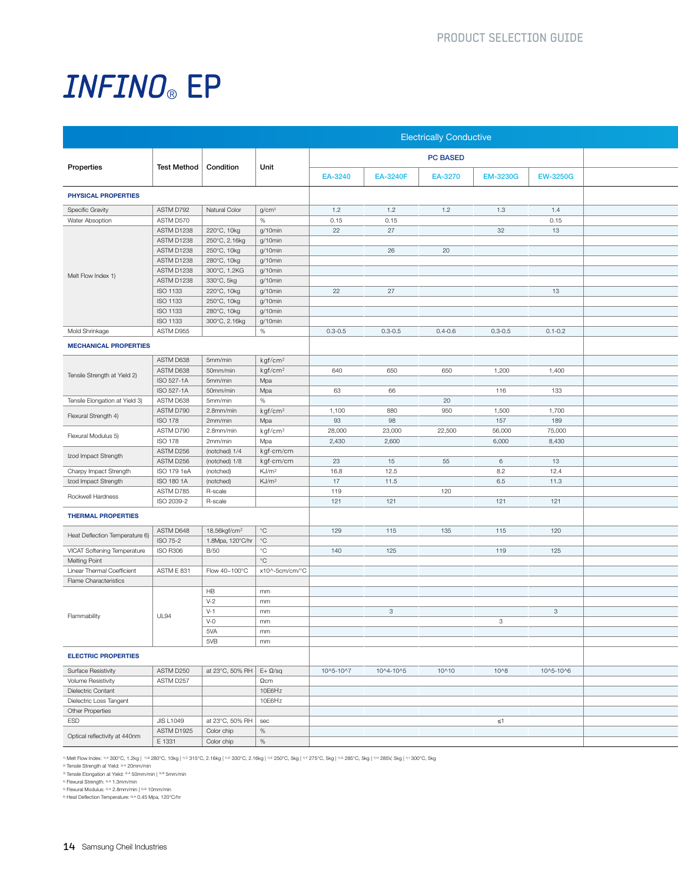|                                |                         |                                   |                     |             |                 | <b>Electrically Conductive</b> |                 |                 |
|--------------------------------|-------------------------|-----------------------------------|---------------------|-------------|-----------------|--------------------------------|-----------------|-----------------|
|                                | Test Method   Condition |                                   | Unit                |             |                 | <b>PC BASED</b>                |                 |                 |
| Properties                     |                         |                                   |                     | EA-3240     | <b>EA-3240F</b> | EA-3270                        | <b>EM-3230G</b> | <b>EW-3250G</b> |
| <b>PHYSICAL PROPERTIES</b>     |                         |                                   |                     |             |                 |                                |                 |                 |
| Specific Gravity               | ASTM D792               | Natural Color                     | g/cm <sup>3</sup>   | 1.2         | 1.2             | 1.2                            | 1.3             | 1.4             |
| Water Absoption                | ASTM D570               |                                   | %                   | 0.15        | 0.15            |                                |                 | 0.15            |
|                                | ASTM D1238              | 220°C, 10kg                       | g/10min             | 22          | 27              |                                | 32              | 13              |
|                                | ASTM D1238              | 250°C, 2.16kg                     | g/10min             |             |                 |                                |                 |                 |
|                                | ASTM D1238              | 250°C, 10kg                       | g/10min             |             | 26              | 20                             |                 |                 |
|                                | ASTM D1238              | 280°C, 10kg                       | g/10min             |             |                 |                                |                 |                 |
| Melt Flow Index 1)             | ASTM D1238              | 300°C, 1.2KG                      | g/10min             |             |                 |                                |                 |                 |
|                                | ASTM D1238              | 330°C, 5kg                        | g/10min             |             |                 |                                |                 |                 |
|                                | ISO 1133                | 220°C, 10kg                       | g/10min             | 22          | 27              |                                |                 | 13              |
|                                | ISO 1133                | 250°C, 10kg                       | g/10min             |             |                 |                                |                 |                 |
|                                | ISO 1133                | 280°C, 10kg                       | g/10min             |             |                 |                                |                 |                 |
|                                | ISO 1133                | 300°C, 2.16kg                     | g/10min             |             |                 |                                |                 |                 |
| Mold Shrinkage                 | ASTM D955               |                                   | %                   | $0.3 - 0.5$ | $0.3 - 0.5$     | $0.4 - 0.6$                    | $0.3 - 0.5$     | $0.1 - 0.2$     |
| <b>MECHANICAL PROPERTIES</b>   |                         |                                   |                     |             |                 |                                |                 |                 |
|                                | ASTM D638               | 5mm/min                           | kgf/cm <sup>2</sup> |             |                 |                                |                 |                 |
| Tensile Strength at Yield 2)   | ASTM D638               | 50mm/min                          | kgf/cm <sup>2</sup> | 640         | 650             | 650                            | 1,200           | 1,400           |
|                                | ISO 527-1A              | 5mm/min                           | Mpa                 |             |                 |                                |                 |                 |
|                                | ISO 527-1A              | 50mm/min                          | Mpa                 | 63          | 66              |                                | 116             | 133             |
| Tensile Elongation at Yield 3) | ASTM D638               | 5mm/min                           | %                   |             |                 | 20                             |                 |                 |
| Flexural Strength 4)           | ASTM D790               | 2.8mm/min                         | kgf/cm <sup>2</sup> | 1,100       | 880             | 950                            | 1,500           | 1,700           |
|                                | <b>ISO 178</b>          | 2mm/min                           | Mpa                 | 93          | 98              |                                | 157             | 189             |
| Flexural Modulus 5)            | ASTM D790               | 2.8mm/min                         | kgf/cm <sup>2</sup> | 28,000      | 23,000          | 22,500                         | 56,000          | 75,000          |
|                                | <b>ISO 178</b>          | 2mm/min                           | Mpa                 | 2,430       | 2,600           |                                | 6,000           | 8,430           |
| Izod Impact Strength           | ASTM D256               | (notched) 1/4                     | kgf∙cm/cm           |             |                 |                                |                 |                 |
|                                | ASTM D256               | (notched) 1/8                     | kgf·cm/cm           | 23          | 15              | 55                             | 6               | 13              |
| Charpy Impact Strength         | ISO 179 1eA             | (notched)                         | KJ/m <sup>2</sup>   | 16.8        | 12.5            |                                | 8.2             | 12.4            |
| Izod Impact Strength           | ISO 180 1A              | (notched)                         | KJ/m <sup>2</sup>   | 17          | 11.5            |                                | 6.5             | 11.3            |
| Rockwell Hardness              | ASTM D785               | R-scale                           |                     | 119         |                 | 120                            |                 |                 |
|                                | ISO 2039-2              | R-scale                           |                     | 121         | 121             |                                | 121             | 121             |
| <b>THERMAL PROPERTIES</b>      |                         |                                   |                     |             |                 |                                |                 |                 |
|                                | ASTM D648               | 18.56kgf/cm <sup>2</sup>          | $ \degree$ C        | 129         | 115             | 135                            | 115             | 120             |
| Heat Deflection Temperature 6) | ISO 75-2                | 1.8Mpa, 120°C/hr <sup>o</sup> C   |                     |             |                 |                                |                 |                 |
| VICAT Softening Temperature    | <b>ISO R306</b>         | <b>B/50</b>                       | $^{\circ}$ C        | 140         | 125             |                                | 119             | 125             |
| <b>Melting Point</b>           |                         |                                   | $^{\circ}{\rm C}$   |             |                 |                                |                 |                 |
| Linear Thermal Coefficient     | ASTM E 831              | Flow 40~100°C                     | x10^-5cm/cm/°C      |             |                 |                                |                 |                 |
| Flame Characteristics          |                         |                                   |                     |             |                 |                                |                 |                 |
|                                |                         | <b>HB</b>                         | mm                  |             |                 |                                |                 |                 |
|                                |                         | $V-2$                             | mm                  |             |                 |                                |                 |                 |
| Flammability                   | <b>UL94</b>             | $V-1$                             | mm                  |             | $\mathbf{3}$    |                                |                 | 3 <sup>3</sup>  |
|                                |                         | $V - 0$                           | mm                  |             |                 |                                | $\mathbf{3}$    |                 |
|                                |                         | 5VA                               | mm                  |             |                 |                                |                 |                 |
|                                |                         | 5VB                               | mm                  |             |                 |                                |                 |                 |
| <b>ELECTRIC PROPERTIES</b>     |                         |                                   |                     |             |                 |                                |                 |                 |
|                                |                         |                                   |                     |             |                 |                                |                 |                 |
| <b>Surface Resistivity</b>     | ASTM D250               | at 23°C, 50% RH $E+$ $\Omega$ /sq |                     | 10^5-10^7   | 10^4-10^5       | 10^10                          | $10^{8}$        | 10^5-10^6       |
| Volume Resistivity             | ASTM D257               |                                   | $\Omega$ cm         |             |                 |                                |                 |                 |
| Dielectric Contant             |                         |                                   | 10E6Hz              |             |                 |                                |                 |                 |
| Dielectric Loss Tangent        |                         |                                   | 10E6Hz              |             |                 |                                |                 |                 |
| Other Properties               |                         |                                   |                     |             |                 |                                |                 |                 |
| ESD                            | <b>JIS L1049</b>        | at 23°C, 50% RH   sec             |                     |             |                 |                                | $\leq 1$        |                 |
| Optical reflectivity at 440nm  | ASTM D1925              | Color chip                        | $\frac{9}{6}$       |             |                 |                                |                 |                 |
|                                | E 1331                  | Color chip                        | $\%$                |             |                 |                                |                 |                 |

® Melt Flow Index: ®^300°C, 1.2kg | ®® 280°C, 10kg | ®© 315°C, 2.16kg | ®® 330°C, 2.16kg | ®® 260°C, 5kg | ®® 285°C, 5kg | ®® 285°C, 5kg | ®® 200°C, 5kg | ®<br>® Tensile Strength at Yield: ®® 20mm/min

3) Tensile Elongation at Yield: 3×4 50mm/min | 3¤ 5mm/min<br>4) Flexural Strength: 4×1.3mm/min<br>6) Flexural Modulus: <sup>514</sup> 2.8mm/min | <sup>51</sup> 10mm/min<br><sup>6)</sup> Heat Deflection Temperature: 9× 0.45 Mpa, 120°C/hr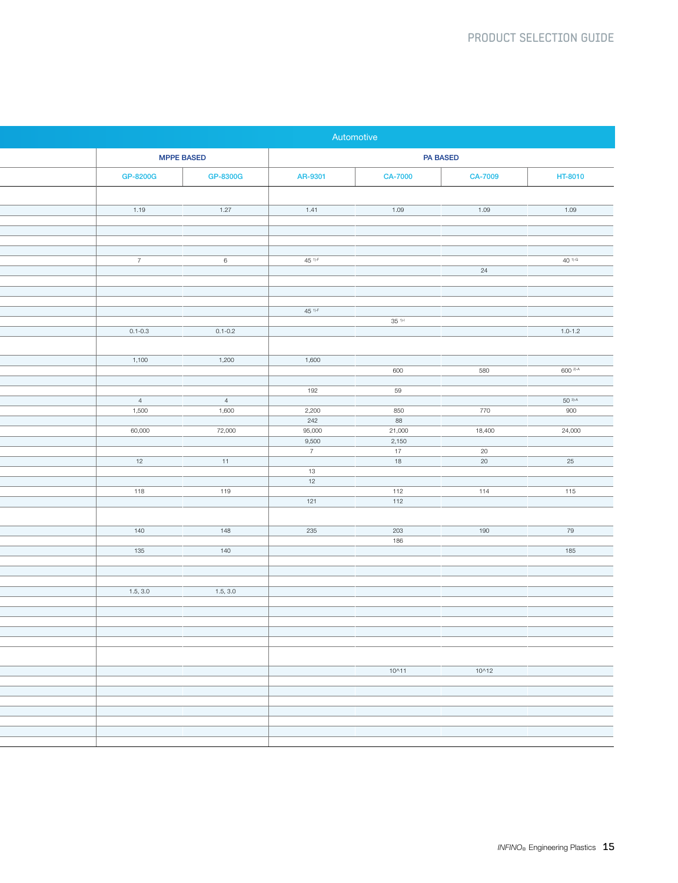|                         |                         |                 | Automotive       |                 |                              |
|-------------------------|-------------------------|-----------------|------------------|-----------------|------------------------------|
| <b>MPPE BASED</b>       |                         |                 |                  | <b>PA BASED</b> |                              |
| GP-8200G                | GP-8300G                | AR-9301         | <b>CA-7000</b>   | <b>CA-7009</b>  | HT-8010                      |
|                         |                         |                 |                  |                 |                              |
| 1.19                    | 1.27                    | 1.41            | 1.09             | 1.09            | $1.09$                       |
|                         |                         |                 |                  |                 |                              |
|                         |                         |                 |                  |                 |                              |
| 7 <sup>7</sup>          | 6                       | $45 - 1$        |                  | $\overline{24}$ | $40^{-1)-G}$                 |
|                         |                         |                 |                  |                 |                              |
|                         |                         |                 |                  |                 |                              |
|                         |                         | $45 - 1$        |                  |                 |                              |
| $0.1 - 0.3$             | $0.1 - 0.2$             |                 | 35 <sup>1</sup>  |                 | $1.0 - 1.2$                  |
|                         |                         |                 |                  |                 |                              |
| 1,100                   | 1,200                   | 1,600           |                  |                 |                              |
|                         |                         |                 | 600              | 580             | $600^{2) A}$                 |
|                         |                         | 192             | 59               |                 |                              |
| $\overline{4}$<br>1,500 | $\overline{4}$<br>1,600 | 2,200           | 850              | 770             | $50^{3}$ <sup>A</sup><br>900 |
|                         |                         | 242             | 88               |                 |                              |
| 60,000                  | 72,000                  | 95,000<br>9,500 | 21,000<br>2,150  | 18,400          | 24,000                       |
|                         |                         | $\overline{7}$  | $-17$            | $\overline{20}$ |                              |
| 12                      | 11                      | $\overline{13}$ | 18               | 20              | 25                           |
|                         |                         | 12              |                  |                 |                              |
| 118                     | 119                     | 121             | 112<br>112       | 114             | 115                          |
|                         |                         |                 |                  |                 |                              |
| 140                     | 148                     | 235             | $\overline{203}$ | 190             | 79                           |
| 135                     | 140                     |                 | 186              |                 | 185                          |
|                         |                         |                 |                  |                 |                              |
|                         |                         |                 |                  |                 |                              |
| 1.5, 3.0                | 1.5, 3.0                |                 |                  |                 |                              |
|                         |                         |                 |                  |                 |                              |
|                         |                         |                 |                  |                 |                              |
|                         |                         |                 |                  |                 |                              |
|                         |                         |                 |                  |                 |                              |
|                         |                         |                 | $10^{11}$        | $10^{12}$       |                              |
|                         |                         |                 |                  |                 |                              |
|                         |                         |                 |                  |                 |                              |
|                         |                         |                 |                  |                 |                              |
|                         |                         |                 |                  |                 |                              |
|                         |                         |                 |                  |                 |                              |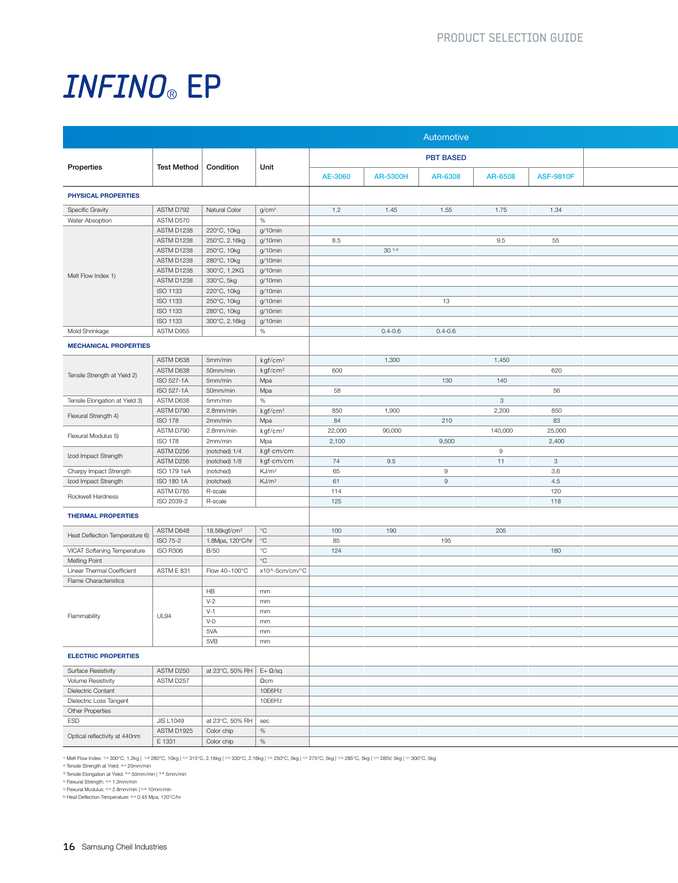|                                |                          |                                   |                            |         |                    | Automotive       |              |                  |
|--------------------------------|--------------------------|-----------------------------------|----------------------------|---------|--------------------|------------------|--------------|------------------|
|                                |                          |                                   |                            |         |                    | <b>PBT BASED</b> |              |                  |
| Properties                     | Test Method   Condition  |                                   | Unit                       | AE-3060 | <b>AR-5300H</b>    | AR-6308          | AR-6508      | <b>ASF-9810F</b> |
| PHYSICAL PROPERTIES            |                          |                                   |                            |         |                    |                  |              |                  |
| <b>Specific Gravity</b>        | ASTM D792                | Natural Color                     | g/cm <sup>3</sup>          | 1.2     | 1.45               | 1.55             | 1.75         | 1.34             |
| Water Absoption                | ASTM D570                |                                   | $\%$                       |         |                    |                  |              |                  |
|                                | ASTM D1238               | 220°C, 10kg                       | g/10min                    |         |                    |                  |              |                  |
|                                | ASTM D1238               | 250°C, 2.16kg                     | $g/10$ min                 | 8.5     |                    |                  | 9.5          | 55               |
|                                | ASTM D1238<br>ASTM D1238 | 250°C, 10kg                       | g/10min                    |         | 30 <sup>1)-E</sup> |                  |              |                  |
|                                | ASTM D1238               | 280°C, 10kg<br>300°C, 1.2KG       | g/10min<br>g/10min         |         |                    |                  |              |                  |
| Melt Flow Index 1)             | ASTM D1238               | 330°C, 5kg                        | g/10min                    |         |                    |                  |              |                  |
|                                | ISO 1133                 | 220°C, 10kg                       | g/10min                    |         |                    |                  |              |                  |
|                                | ISO 1133                 | 250°C, 10kg                       | g/10min                    |         |                    | 13               |              |                  |
|                                | ISO 1133                 | 280°C, 10kg                       | g/10min                    |         |                    |                  |              |                  |
|                                | ISO 1133                 | 300°C, 2.16kg                     | g/10min                    |         |                    |                  |              |                  |
| Mold Shrinkage                 | ASTM D955                |                                   | %                          |         | $0.4 - 0.6$        | $0.4 - 0.6$      |              |                  |
| <b>MECHANICAL PROPERTIES</b>   |                          |                                   |                            |         |                    |                  |              |                  |
|                                |                          |                                   |                            |         |                    |                  |              |                  |
|                                | ASTM D638<br>ASTM D638   | 5mm/min<br>50mm/min               | kgf/cm <sup>2</sup>        | 600     | 1,300              |                  | 1,450        | 620              |
| Tensile Strength at Yield 2)   | ISO 527-1A               | 5mm/min                           | kgf/cm <sup>2</sup><br>Mpa |         |                    | 130              | 140          |                  |
|                                | ISO 527-1A               | 50mm/min                          | Mpa                        | 58      |                    |                  |              | 56               |
| Tensile Elongation at Yield 3) | ASTM D638                | 5mm/min                           | %                          |         |                    |                  | $\mathbf{3}$ |                  |
|                                | ASTM D790                | 2.8mm/min                         | kgf/cm <sup>2</sup>        | 850     | 1,900              |                  | 2,200        | 850              |
| Flexural Strength 4)           | <b>ISO 178</b>           | 2mm/min                           | Mpa                        | 84      |                    | 210              |              | 83               |
|                                | ASTM D790                | 2.8mm/min                         | kgf/cm²                    | 22,000  | 90,000             |                  | 140,000      | 25,000           |
| Flexural Modulus 5)            | <b>ISO 178</b>           | 2mm/min                           | Mpa                        | 2,100   |                    | 9,500            |              | 2,400            |
| Izod Impact Strength           | ASTM D256                | (notched) 1/4                     | kgf∙cm/cm                  |         |                    |                  | 9            |                  |
|                                | ASTM D256                | (notched) 1/8                     | kgf·cm/cm                  | 74      | 9.5                |                  | $-11$        | $\mathbf{3}$     |
| Charpy Impact Strength         | ISO 179 1eA              | (notched)                         | KJ/m <sup>2</sup>          | 65      |                    | 9                |              | 3.6              |
| Izod Impact Strength           | ISO 180 1A               | (notched)                         | KJ/m <sup>2</sup>          | 61      |                    | 9                |              | 4.5              |
| Rockwell Hardness              | ASTM D785                | R-scale                           |                            | 114     |                    |                  |              | 120              |
|                                | ISO 2039-2               | R-scale                           |                            | 125     |                    |                  |              | 118              |
| <b>THERMAL PROPERTIES</b>      |                          |                                   |                            |         |                    |                  |              |                  |
|                                | ASTM D648                | 18.56kgf/cm <sup>2</sup>          | $ \degree$ C               | 100     | 190                |                  | 205          |                  |
| Heat Deflection Temperature 6) | ISO 75-2                 | 1.8Mpa, 120°C/hr   °C             |                            | 85      |                    | 195              |              |                  |
| VICAT Softening Temperature    | <b>ISO R306</b>          | <b>B/50</b>                       | $^{\circ}$ C               | 124     |                    |                  |              | 180              |
| <b>Melting Point</b>           |                          |                                   | $^{\circ}$ C               |         |                    |                  |              |                  |
| Linear Thermal Coefficient     | ASTM E 831               | Flow 40~100°C                     | x10^-5cm/cm/°C             |         |                    |                  |              |                  |
| Flame Characteristics          |                          |                                   |                            |         |                    |                  |              |                  |
|                                |                          | HB                                | mm                         |         |                    |                  |              |                  |
|                                |                          | $V-2$                             | mm                         |         |                    |                  |              |                  |
| Flammability                   | <b>UL94</b>              | $V-1$                             | mm                         |         |                    |                  |              |                  |
|                                |                          | $V-0$                             | mm                         |         |                    |                  |              |                  |
|                                |                          | 5VA                               | mm                         |         |                    |                  |              |                  |
|                                |                          | 5VB                               | mm                         |         |                    |                  |              |                  |
| <b>ELECTRIC PROPERTIES</b>     |                          |                                   |                            |         |                    |                  |              |                  |
| <b>Surface Resistivity</b>     | ASTM D250                | at 23°C, 50% RH $E+$ $\Omega$ /sq |                            |         |                    |                  |              |                  |
| <b>Volume Resistivity</b>      | ASTM D257                |                                   | $\Omega$ cm                |         |                    |                  |              |                  |
| Dielectric Contant             |                          |                                   | 10E6Hz                     |         |                    |                  |              |                  |
| Dielectric Loss Tangent        |                          |                                   | 10E6Hz                     |         |                    |                  |              |                  |
| Other Properties               |                          |                                   |                            |         |                    |                  |              |                  |
|                                | <b>JIS L1049</b>         | at 23°C, 50% RH   sec             |                            |         |                    |                  |              |                  |
| ESD                            |                          |                                   |                            |         |                    |                  |              |                  |
| Optical reflectivity at 440nm  | ASTM D1925               | Color chip                        | %                          |         |                    |                  |              |                  |

® Melt Flow Index: ®^300°C, 1.2kg | ®® 280°C, 10kg | ®© 315°C, 2.16kg | ®® 330°C, 2.16kg | ®® 260°C, 5kg | ®® 285°C, 5kg | ®® 285°C, 5kg | ®® 200°C, 5kg | ®<br>® Tensile Strength at Yield: ®® 20mm/min

3) Tensile Elongation at Yield: 3×4 50mm/min | 3¤ 5mm/min<br>4) Flexural Strength: 4×1.3mm/min<br>6) Flexural Modulus: <sup>514</sup> 2.8mm/min | <sup>51</sup> 10mm/min<br><sup>6)</sup> Heat Deflection Temperature: 9× 0.45 Mpa, 120°C/hr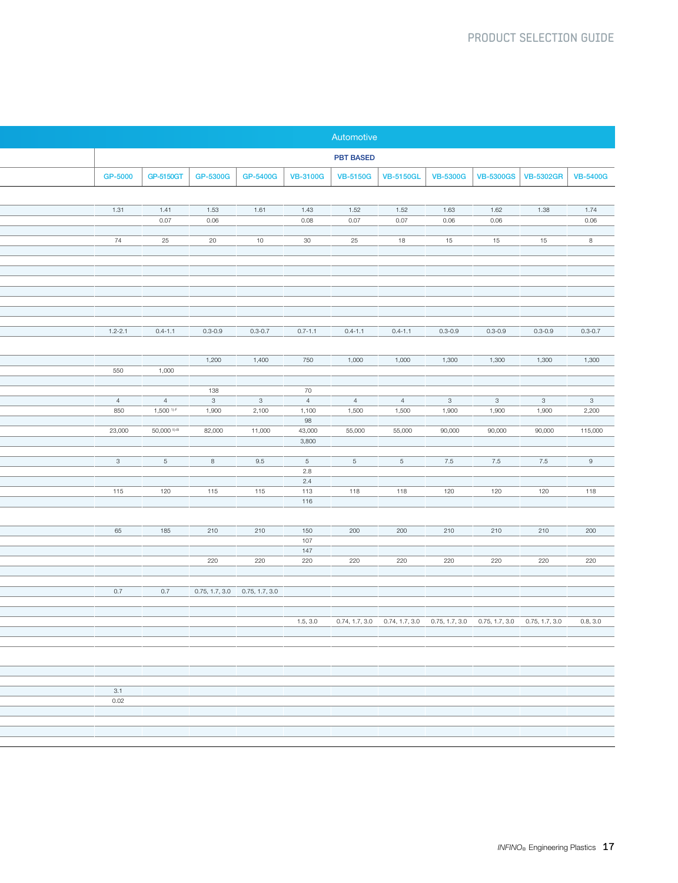| Automotive                                                                                                                                                                                                                                                                                    |
|-----------------------------------------------------------------------------------------------------------------------------------------------------------------------------------------------------------------------------------------------------------------------------------------------|
| <b>PBT BASED</b>                                                                                                                                                                                                                                                                              |
| GP-5000<br>GP-5150GT<br>GP-5300G<br>GP-5400G   VB-3100G  <br>VB-5150G   VB-5150GL  <br>VB-5300G   VB-5300GS   VB-5302GR   VB-5400G                                                                                                                                                            |
|                                                                                                                                                                                                                                                                                               |
| 1.61<br>1.52<br>1.38<br>1.74<br>1.41<br>1.53<br>1.43<br>1.52<br>1.63<br>1.62                                                                                                                                                                                                                  |
| 0.07<br>0.08<br>0.06<br>0.06<br>0.07<br>0.07<br>0.06<br>0.06                                                                                                                                                                                                                                  |
| 25<br>20<br>10<br>30<br>25<br>18<br>15<br>15<br>15<br>8                                                                                                                                                                                                                                       |
|                                                                                                                                                                                                                                                                                               |
|                                                                                                                                                                                                                                                                                               |
|                                                                                                                                                                                                                                                                                               |
|                                                                                                                                                                                                                                                                                               |
|                                                                                                                                                                                                                                                                                               |
| $0.4 - 1.1$<br>$0.3 - 0.9$<br>$0.3 - 0.7$<br>$0.7 - 1.1$<br>$0.4 - 1.1$<br>$0.3 - 0.9$<br>$0.3 - 0.9$<br>$0.3 - 0.9$<br>$0.3 - 0.7$<br>$0.4 - 1.1$                                                                                                                                            |
|                                                                                                                                                                                                                                                                                               |
| 1,200<br>1,400<br>750<br>1,300<br>1,300<br>1,000<br>1,000<br>1,300<br>1,300                                                                                                                                                                                                                   |
| 1,000                                                                                                                                                                                                                                                                                         |
| 138<br>70                                                                                                                                                                                                                                                                                     |
| 4<br>3 <sup>3</sup><br>$\overline{\mathbf{3}}$<br>$4\overline{4}$<br>4 <sup>1</sup><br>4 <sup>1</sup><br>3 <sup>2</sup><br>$\overline{\mathbf{3}}$<br>3 <sup>3</sup><br>$3^{\circ}$<br>1,500 <sup>1)-F</sup><br>1,900<br>2,100<br>1,100<br>1,500<br>1,500<br>1,900<br>1,900<br>1,900<br>2,200 |
| 98                                                                                                                                                                                                                                                                                            |
| 50,000 5)-B<br>82,000<br>11,000<br>43,000<br>55,000<br>55,000<br>90,000<br>90,000<br>90,000<br>115,000<br>3,800                                                                                                                                                                               |
|                                                                                                                                                                                                                                                                                               |
| 9.5<br>7.5<br>7.5<br>7.5<br>9<br>5 <sup>5</sup><br>8<br>5 <sup>5</sup><br>5 <sup>5</sup><br>5 <sup>5</sup><br>2.8                                                                                                                                                                             |
| 2.4                                                                                                                                                                                                                                                                                           |
| 120<br>120<br>115<br>115<br>113<br>120<br>120<br>118<br>118<br>118<br>116                                                                                                                                                                                                                     |
|                                                                                                                                                                                                                                                                                               |
| 185<br>210<br>210<br>150<br>200<br>200<br>210<br>210<br>210<br>200                                                                                                                                                                                                                            |
| 107                                                                                                                                                                                                                                                                                           |
| 147<br>220<br>220<br>220<br>220<br>220<br>220<br>220<br>220<br>220                                                                                                                                                                                                                            |
|                                                                                                                                                                                                                                                                                               |
| 0.7<br>0.75, 1.7, 3.0 0.75, 1.7, 3.0                                                                                                                                                                                                                                                          |
|                                                                                                                                                                                                                                                                                               |
| 1.5, 3.0 0.74, 1.7, 3.0 0.74, 1.7, 3.0 0.75, 1.7, 3.0 0.75, 1.7, 3.0 0.75, 1.7, 3.0 0.8, 3.0                                                                                                                                                                                                  |
|                                                                                                                                                                                                                                                                                               |
|                                                                                                                                                                                                                                                                                               |
|                                                                                                                                                                                                                                                                                               |
|                                                                                                                                                                                                                                                                                               |
|                                                                                                                                                                                                                                                                                               |
|                                                                                                                                                                                                                                                                                               |
|                                                                                                                                                                                                                                                                                               |
|                                                                                                                                                                                                                                                                                               |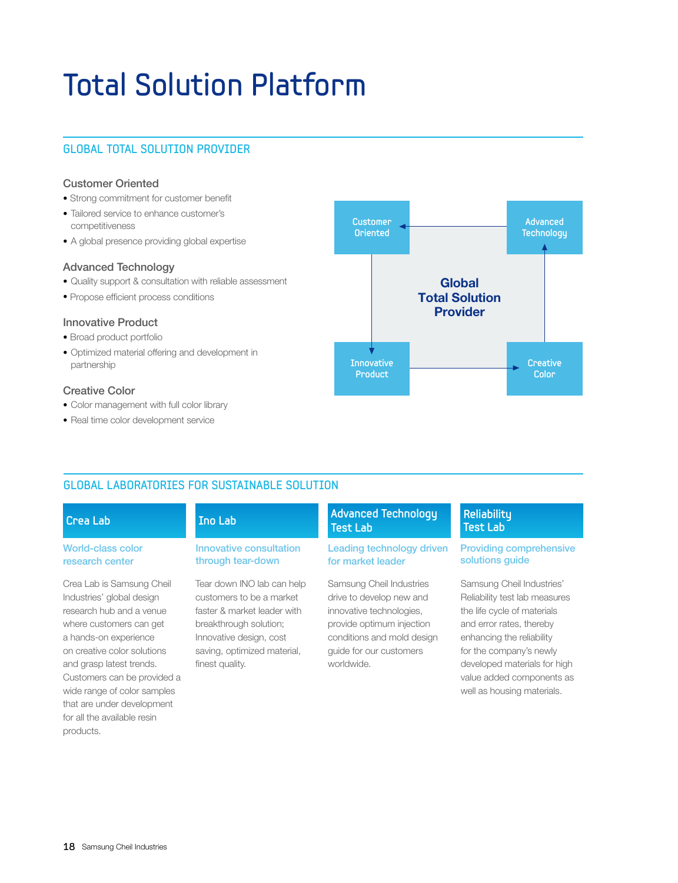## Total Solution Platform

#### Global Total Solution Provider

#### Customer Oriented

- Strong commitment for customer benefit
- Tailored service to enhance customer's competitiveness
- A global presence providing global expertise

#### Advanced Technology

- Quality support & consultation with reliable assessment
- Propose efficient process conditions

#### Innovative Product

- Broad product portfolio
- Optimized material offering and development in partnership

#### Creative Color

- Color management with full color library
- Real time color development service



#### Global Laboratories for Sustainable Solution

#### **Crea Lab Ino Lab**

#### World-class color research center

Crea Lab is Samsung Cheil Industries' global design research hub and a venue where customers can get a hands-on experience on creative color solutions and grasp latest trends. Customers can be provided a wide range of color samples that are under development for all the available resin products.

#### Innovative consultation through tear-down

Tear down INO lab can help customers to be a market faster & market leader with breakthrough solution; Innovative design, cost saving, optimized material, finest quality.

#### **Test Lab Advanced Technology Reliability**

#### Leading technology driven for market leader

Samsung Cheil Industries drive to develop new and innovative technologies, provide optimum injection conditions and mold design guide for our customers worldwide.

### **Test Lab**

#### Providing comprehensive solutions guide

Samsung Cheil Industries' Reliability test lab measures the life cycle of materials and error rates, thereby enhancing the reliability for the company's newly developed materials for high value added components as well as housing materials.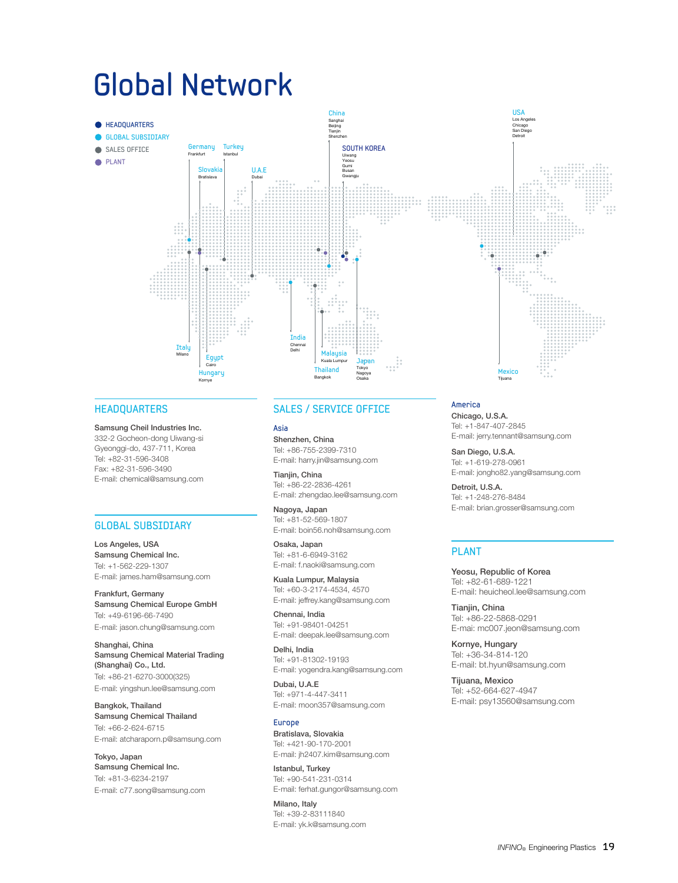### Global Network



#### **HEADQUARTERS**

#### Samsung Cheil Industries Inc.

332-2 Gocheon-dong Uiwang-si Gyeonggi-do, 437-711, Korea Tel: +82-31-596-3408 Fax: +82-31-596-3490 E-mail: chemical@samsung.com

#### global subsidiary

Los Angeles, USA Samsung Chemical Inc. Tel: +1-562-229-1307 E-mail: james.ham@samsung.com

Frankfurt, Germany Samsung Chemical Europe GmbH Tel: +49-6196-66-7490 E-mail: jason.chung@samsung.com

Shanghai, China Samsung Chemical Material Trading (Shanghai) Co., Ltd. Tel: +86-21-6270-3000(325) E-mail: yingshun.lee@samsung.com

Bangkok, Thailand Samsung Chemical Thailand Tel: +66-2-624-6715 E-mail: atcharaporn.p@samsung.com

Tokyo, Japan Samsung Chemical Inc. Tel: +81-3-6234-2197 E-mail: c77.song@samsung.com

#### SALES / SERVICE OFFICE

Asia Shenzhen, China Tel: +86-755-2399-7310 E-mail: harry.jin@samsung.com

Tianiin, China Tel: +86-22-2836-4261 E-mail: zhengdao.lee@samsung.com

Nagoya, Japan Tel: +81-52-569-1807 E-mail: boin56.noh@samsung.com

Osaka, Japan Tel: +81-6-6949-3162 E-mail: f.naoki@samsung.com

Kuala Lumpur, Malaysia Tel: +60-3-2174-4534, 4570 E-mail: jeffrey.kang@samsung.com

Chennai, India Tel: +91-98401-04251 E-mail: deepak.lee@samsung.com

Delhi, India Tel: +91-81302-19193 E-mail: yogendra.kang@samsung.com

Dubai, U.A.E Tel: +971-4-447-3411 E-mail: moon357@samsung.com

#### Europe

Bratislava, Slovakia Tel: +421-90-170-2001 E-mail: jh2407.kim@samsung.com

Istanbul, Turkey Tel: +90-541-231-0314 E-mail: ferhat.gungor@samsung.com

Milano, Italy Tel: +39-2-83111840 E-mail: yk.k@samsung.com America Chicago, U.S.A. Tel: +1-847-407-2845

E-mail: jerry.tennant@samsung.com

San Diego, U.S.A. Tel: +1-619-278-0961 E-mail: jongho82.yang@samsung.com

Detroit, U.S.A. Tel: +1-248-276-8484 E-mail: brian.grosser@samsung.com

#### PLANT

Yeosu, Republic of Korea Tel: +82-61-689-1221 E-mail: heuicheol.lee@samsung.com

Tianjin, China Tel: +86-22-5868-0291 E-mai: mc007.jeon@samsung.com

Kornye, Hungary Tel: +36-34-814-120 E-mail: bt.hyun@samsung.com

Tijuana, Mexico Tel: +52-664-627-4947 E-mail: psy13560@samsung.com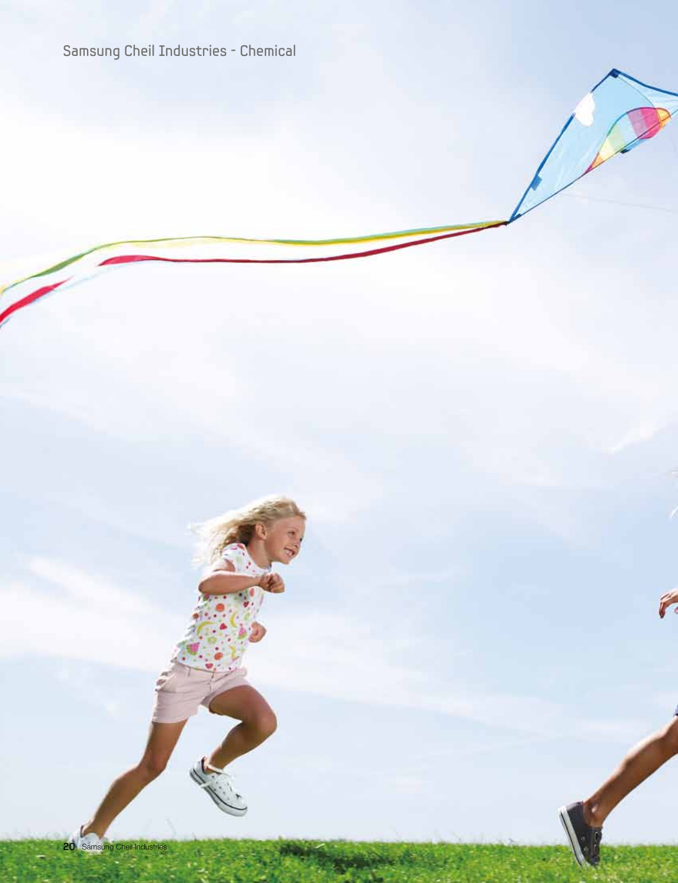### Samsung Cheil Industries - Chemical

F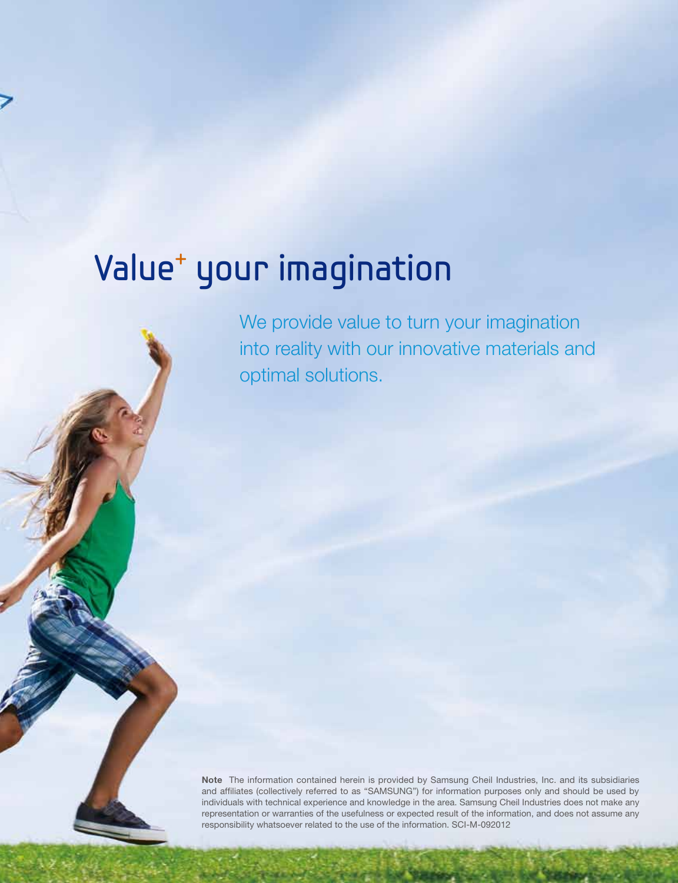## Value+ your imagination

We provide value to turn your imagination into reality with our innovative materials and optimal solutions.

Note The information contained herein is provided by Samsung Cheil Industries, Inc. and its subsidiaries and affiliates (collectively referred to as "SAMSUNG") for information purposes only and should be used by individuals with technical experience and knowledge in the area. Samsung Cheil Industries does not make any representation or warranties of the usefulness or expected result of the information, and does not assume any responsibility whatsoever related to the use of the information. SCI-M-092012